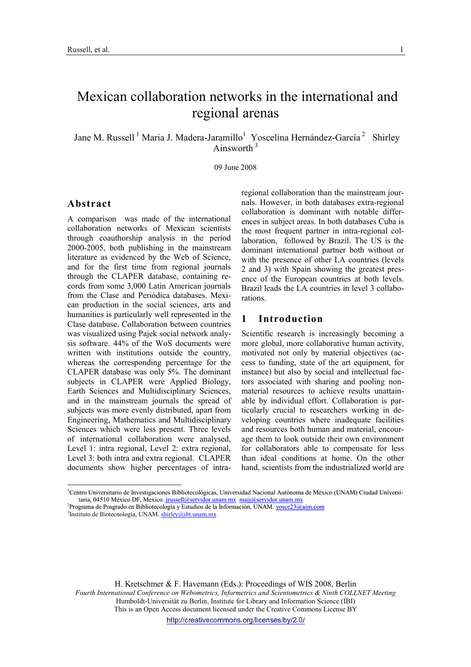# Mexican collaboration networks in the international and regional arenas

Jane M. Russell<sup>1</sup> Maria J. Madera-Jaramillo<sup>1</sup> Yoscelina Hernández-García<sup>2</sup> Shirley Ainsworth  $3$ 

09 June 2008

#### Abstract

-

A comparison was made of the international collaboration networks of Mexican scientists through coauthorship analysis in the period 2000-2005, both publishing in the mainstream literature as evidenced by the Web of Science, and for the first time from regional journals through the CLAPER database, containing records from some 3,000 Latin American journals from the Clase and Periódica databases. Mexican production in the social sciences, arts and humanities is particularly well represented in the Clase database. Collaboration between countries was visualized using Pajek social network analysis software. 44% of the WoS documents were written with institutions outside the country, whereas the corresponding percentage for the CLAPER database was only 5%. The dominant subjects in CLAPER were Applied Biology, Earth Sciences and Multidisciplinary Sciences, and in the mainstream journals the spread of subjects was more evenly distributed, apart from Engineering, Mathematics and Multidisciplinary Sciences which were less present. Three levels of international collaboration were analysed, Level 1: intra regional, Level 2: extra regional, Level 3: both intra and extra regional. CLAPER documents show higher percentages of intraregional collaboration than the mainstream journals. However, in both databases extra-regional collaboration is dominant with notable differences in subject areas. In both databases Cuba is the most frequent partner in intra-regional collaboration, followed by Brazil. The US is the dominant international partner both without or with the presence of other LA countries (levels 2 and 3) with Spain showing the greatest presence of the European countries at both levels. Brazil leads the LA countries in level 3 collaborations.

# 1 Introduction

Scientific research is increasingly becoming a more global, more collaborative human activity, motivated not only by material objectives (access to funding, state of the art equipment, for instance) but also by social and intellectual factors associated with sharing and pooling nonmaterial resources to achieve results unattainable by individual effort. Collaboration is particularly crucial to researchers working in developing countries where inadequate facilities and resources both human and material, encourage them to look outside their own environment for collaborators able to compensate for less than ideal conditions at home. On the other hand, scientists from the industrialized world are

H. Kretschmer & F. Havemann (Eds.): Proceedings of WIS 2008, Berlin Fourth International Conference on Webometrics, Informetrics and Scientometrics & Ninth COLLNET Meeting Humboldt-Universität zu Berlin, Institute for Library and Information Science (IBI) This is an Open Access document licensed under the Creative Commons License BY http://creativecommons.org/licenses/by/2.0/

<sup>&</sup>lt;sup>1</sup>Centro Universitario de Investigaciones Bibliotecológicas, Universidad Nacional Autónoma de México (UNAM) Ciudad Universitaria, 04510 México DF, Mexico. jrussell@servidor.unam.mx majj@servidor.unam.mx

<sup>&</sup>lt;sup>2</sup>Programa de Posgrado en Bibliotecología y Estudios de la Información, UNAM. vosce23@aim.com <sup>3</sup>Instituto de Biotecnología, UNAM. **shirley@ibt.unam.mx**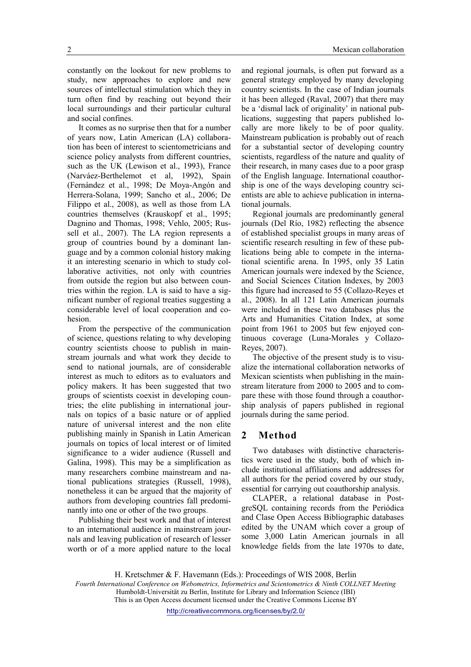Mexican collaboration

constantly on the lookout for new problems to study, new approaches to explore and new sources of intellectual stimulation which they in turn often find by reaching out beyond their local surroundings and their particular cultural and social confines.

It comes as no surprise then that for a number of years now, Latin American (LA) collaboration has been of interest to scientometricians and science policy analysts from different countries, such as the UK (Lewison et al., 1993), France (Narváez-Berthelemot et al, 1992), Spain (Fernández et al., 1998; De Moya-Angón and Herrera-Solana, 1999; Sancho et al., 2006; De Filippo et al., 2008), as well as those from LA countries themselves (Krauskopf et al., 1995; Dagnino and Thomas, 1998; Vehlo, 2005; Russell et al., 2007). The LA region represents a group of countries bound by a dominant language and by a common colonial history making it an interesting scenario in which to study collaborative activities, not only with countries from outside the region but also between countries within the region. LA is said to have a significant number of regional treaties suggesting a considerable level of local cooperation and cohesion.

From the perspective of the communication of science, questions relating to why developing country scientists choose to publish in mainstream journals and what work they decide to send to national journals, are of considerable interest as much to editors as to evaluators and policy makers. It has been suggested that two groups of scientists coexist in developing countries; the elite publishing in international journals on topics of a basic nature or of applied nature of universal interest and the non elite publishing mainly in Spanish in Latin American journals on topics of local interest or of limited significance to a wider audience (Russell and Galina, 1998). This may be a simplification as many researchers combine mainstream and national publications strategies (Russell, 1998), nonetheless it can be argued that the majority of authors from developing countries fall predominantly into one or other of the two groups.

Publishing their best work and that of interest to an international audience in mainstream journals and leaving publication of research of lesser worth or of a more applied nature to the local

and regional journals, is often put forward as a general strategy employed by many developing country scientists. In the case of Indian journals it has been alleged (Raval, 2007) that there may be a 'dismal lack of originality' in national publications, suggesting that papers published locally are more likely to be of poor quality. Mainstream publication is probably out of reach for a substantial sector of developing country scientists, regardless of the nature and quality of their research, in many cases due to a poor grasp of the English language. International coauthorship is one of the ways developing country scientists are able to achieve publication in international journals.

Regional journals are predominantly general journals (Del Río, 1982) reflecting the absence of established specialist groups in many areas of scientific research resulting in few of these publications being able to compete in the international scientific arena. In 1995, only 35 Latin American journals were indexed by the Science, and Social Sciences Citation Indexes, by 2003 this figure had increased to 55 (Collazo-Reyes et al., 2008). In all 121 Latin American journals were included in these two databases plus the Arts and Humanities Citation Index, at some point from 1961 to 2005 but few enjoyed continuous coverage (Luna-Morales y Collazo-Reyes, 2007).

The objective of the present study is to visualize the international collaboration networks of Mexican scientists when publishing in the mainstream literature from 2000 to 2005 and to compare these with those found through a coauthorship analysis of papers published in regional journals during the same period.

#### 2 Method

Two databases with distinctive characteristics were used in the study, both of which include institutional affiliations and addresses for all authors for the period covered by our study, essential for carrying out coauthorship analysis.

CLAPER, a relational database in PostgreSQL containing records from the Periódica and Clase Open Access Bibliographic databases edited by the UNAM which cover a group of some 3,000 Latin American journals in all knowledge fields from the late 1970s to date,

Fourth International Conference on Webometrics, Informetrics and Scientometrics & Ninth COLLNET Meeting Humboldt-Universität zu Berlin, Institute for Library and Information Science (IBI)

This is an Open Access document licensed under the Creative Commons License BY

H. Kretschmer & F. Havemann (Eds.): Proceedings of WIS 2008, Berlin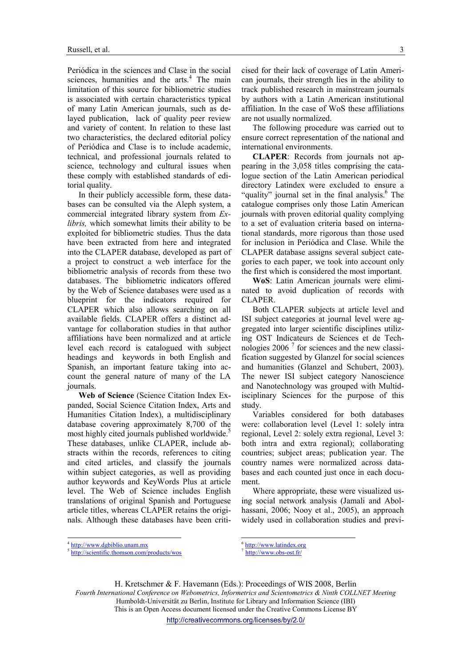Periódica in the sciences and Clase in the social sciences, humanities and the arts.<sup>4</sup> The main limitation of this source for bibliometric studies is associated with certain characteristics typical of many Latin American journals, such as delayed publication, lack of quality peer review and variety of content. In relation to these last two characteristics, the declared editorial policy of Periódica and Clase is to include academic, technical, and professional journals related to science, technology and cultural issues when these comply with established standards of editorial quality.

In their publicly accessible form, these databases can be consulted via the Aleph system, a commercial integrated library system from Ex*libris*, which somewhat limits their ability to be exploited for bibliometric studies. Thus the data have been extracted from here and integrated into the CLAPER database, developed as part of a project to construct a web interface for the bibliometric analysis of records from these two databases. The bibliometric indicators offered by the Web of Science databases were used as a blueprint for the indicators required for CLAPER which also allows searching on all available fields. CLAPER offers a distinct advantage for collaboration studies in that author affiliations have been normalized and at article level each record is catalogued with subject headings and keywords in both English and Spanish, an important feature taking into account the general nature of many of the LA journals.

Web of Science (Science Citation Index Expanded, Social Science Citation Index, Arts and Humanities Citation Index), a multidisciplinary database covering approximately 8,700 of the most highly cited journals published worldwide.<sup>5</sup> These databases, unlike CLAPER, include abstracts within the records, references to citing and cited articles, and classify the journals within subject categories, as well as providing author keywords and KeyWords Plus at article level. The Web of Science includes English translations of original Spanish and Portuguese article titles, whereas CLAPER retains the originals. Although these databases have been criticised for their lack of coverage of Latin American journals, their strength lies in the ability to track published research in mainstream journals by authors with a Latin American institutional affiliation. In the case of WoS these affiliations are not usually normalized.

The following procedure was carried out to ensure correct representation of the national and international environments.

CLAPER: Records from journals not appearing in the 3,058 titles comprising the catalogue section of the Latin American periodical directory Latindex were excluded to ensure a "quality" journal set in the final analysis.<sup>6</sup> The catalogue comprises only those Latin American journals with proven editorial quality complying to a set of evaluation criteria based on international standards, more rigorous than those used for inclusion in Periódica and Clase. While the CLAPER database assigns several subject categories to each paper, we took into account only the first which is considered the most important.

WoS: Latin American journals were eliminated to avoid duplication of records with CLAPER.

Both CLAPER subjects at article level and ISI subject categories at journal level were aggregated into larger scientific disciplines utilizing OST Indicateurs de Sciences et de Technologies 2006<sup> $7$ </sup> for sciences and the new classification suggested by Glanzel for social sciences and humanities (Glanzel and Schubert, 2003). The newer ISI subject category Nanoscience and Nanotechnology was grouped with Multidisciplinary Sciences for the purpose of this study.

Variables considered for both databases were: collaboration level (Level 1: solely intra regional, Level 2: solely extra regional, Level 3: both intra and extra regional); collaborating countries; subject areas; publication year. The country names were normalized across databases and each counted just once in each document.

Where appropriate, these were visualized using social network analysis (Jamali and Abolhassani, 2006; Nooy et al., 2005), an approach widely used in collaboration studies and previ-

-

<sup>6</sup> http://www.latindex.org 7

H. Kretschmer & F. Havemann (Eds.): Proceedings of WIS 2008, Berlin Fourth International Conference on Webometrics, Informetrics and Scientometrics & Ninth COLLNET Meeting Humboldt-Universität zu Berlin, Institute for Library and Information Science (IBI) This is an Open Access document licensed under the Creative Commons License BY

-

<sup>&</sup>lt;sup>4</sup> http://www.dgbiblio.unam.mx

<sup>5</sup> http://scientific.thomson.com/products/wos

http://www.obs-ost.fr/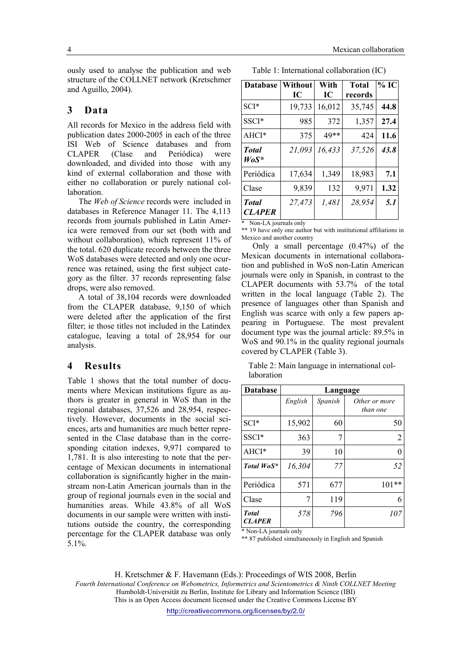ously used to analyse the publication and web structure of the COLLNET network (Kretschmer and Aguillo, 2004).

#### 3 Data

All records for Mexico in the address field with publication dates 2000-2005 in each of the three ISI Web of Science databases and from CLAPER (Clase and Periódica) were downloaded, and divided into those with any kind of external collaboration and those with either no collaboration or purely national collaboration.

The Web of Science records were included in databases in Reference Manager 11. The 4,113 records from journals published in Latin America were removed from our set (both with and without collaboration), which represent 11% of the total. 620 duplicate records between the three WoS databases were detected and only one ocurrence was retained, using the first subject category as the filter. 37 records representing false drops, were also removed.

A total of 38,104 records were downloaded from the CLAPER database, 9,150 of which were deleted after the application of the first filter; ie those titles not included in the Latindex catalogue, leaving a total of 28,954 for our analysis.

# 4 Results

Table 1 shows that the total number of documents where Mexican institutions figure as authors is greater in general in WoS than in the regional databases, 37,526 and 28,954, respectively. However, documents in the social sciences, arts and humanities are much better represented in the Clase database than in the corresponding citation indexes, 9,971 compared to 1,781. It is also interesting to note that the percentage of Mexican documents in international collaboration is significantly higher in the mainstream non-Latin American journals than in the group of regional journals even in the social and humanities areas. While 43.8% of all WoS documents in our sample were written with institutions outside the country, the corresponding percentage for the CLAPER database was only 5.1%.

Table 1: International collaboration (IC)

| <b>Database</b>               | <b>Without</b> | With   | <b>Total</b> | $%$ IC |
|-------------------------------|----------------|--------|--------------|--------|
|                               | IС             | IC     | records      |        |
| $SCI*$                        | 19,733         | 16,012 | 35,745       | 44.8   |
| SSCI*                         | 985            | 372    | 1,357        | 27.4   |
| $AHCI*$                       | 375            | 49**   | 424          | 11.6   |
| <b>Total</b><br>$WoS^*$       | 21,093         | 16,433 | 37,526       | 43.8   |
| Periódica                     | 17,634         | 1,349  | 18,983       | 7.1    |
| Clase                         | 9,839          | 132    | 9,971        | 1.32   |
| <b>Total</b><br><b>CLAPER</b> | 27,473         | 1,481  | 28,954       | 5.1    |

Non-LA journals only

\*\* 19 have only one author but with institutional affiliations in Mexico and another country

Only a small percentage (0.47%) of the Mexican documents in international collaboration and published in WoS non-Latin American journals were only in Spanish, in contrast to the CLAPER documents with 53.7% of the total written in the local language (Table 2). The presence of languages other than Spanish and English was scarce with only a few papers appearing in Portuguese. The most prevalent document type was the journal article: 89.5% in WoS and 90.1% in the quality regional journals covered by CLAPER (Table 3).

Table 2: Main language in international collaboration

| <b>Database</b>               | Language |         |                           |  |  |
|-------------------------------|----------|---------|---------------------------|--|--|
|                               | English  | Spanish | Other or more<br>than one |  |  |
| $SCI*$                        | 15,902   | 60      | 50                        |  |  |
| SSCI*                         | 363      | 7       | $\overline{2}$            |  |  |
| AHCI*                         | 39       | 10      | 0                         |  |  |
| Total WoS*                    | 16,304   | 77      | 52                        |  |  |
| Periódica                     | 571      | 677     | $101**$                   |  |  |
| Clase                         | 7        | 119     | 6                         |  |  |
| <b>Total</b><br><b>CLAPER</b> | 578      | 796     | 107                       |  |  |

\* Non-LA journals only

\*\* 87 published simultaneously in English and Spanish

H. Kretschmer & F. Havemann (Eds.): Proceedings of WIS 2008, Berlin Fourth International Conference on Webometrics, Informetrics and Scientometrics & Ninth COLLNET Meeting Humboldt-Universität zu Berlin, Institute for Library and Information Science (IBI) This is an Open Access document licensed under the Creative Commons License BY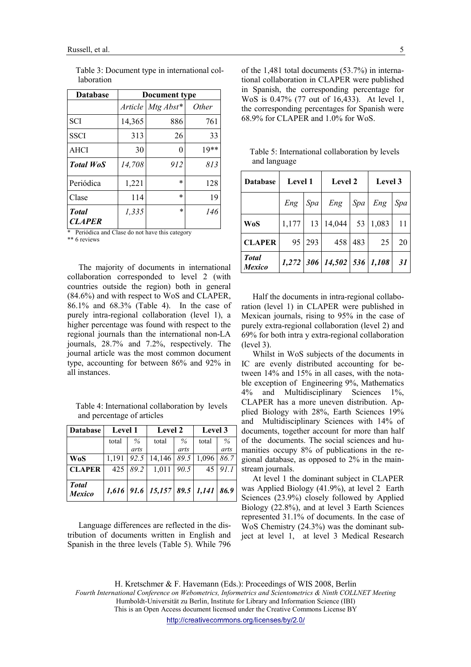| <b>Database</b>               | Document type  |             |              |  |
|-------------------------------|----------------|-------------|--------------|--|
|                               | <i>Article</i> | $Mtg$ Abst* | <i>Other</i> |  |
| <b>SCI</b>                    | 14,365         | 886         | 761          |  |
| <b>SSCI</b>                   | 313            | 26          | 33           |  |
| AHCI                          | 30             | 0           | $19**$       |  |
| <b>Total WoS</b>              | 14,708         | 912         | 813          |  |
| Periódica                     | 1,221          | $\ast$      | 128          |  |
| Clase                         | 114            | $\ast$      | 19           |  |
| <b>Total</b><br><b>CLAPER</b> | 1,335          | $\ast$      | 146          |  |

 Table 3: Document type in international collaboration

\* Periódica and Clase do not have this category

\*\* 6 reviews

The majority of documents in international collaboration corresponded to level 2 (with countries outside the region) both in general (84.6%) and with respect to WoS and CLAPER, 86.1% and 68.3% (Table 4). In the case of purely intra-regional collaboration (level 1), a higher percentage was found with respect to the regional journals than the international non-LA journals, 28.7% and 7.2%, respectively. The journal article was the most common document type, accounting for between 86% and 92% in all instances.

 Table 4: International collaboration by levels and percentage of articles

| <b>Database</b>               | <b>Level 1</b> |      | <b>Level 2</b>                      |      | Level 3 |               |
|-------------------------------|----------------|------|-------------------------------------|------|---------|---------------|
|                               | total          | $\%$ | total                               | $\%$ | total   | $\frac{0}{0}$ |
|                               |                | arts |                                     | arts |         | arts          |
| <b>WoS</b>                    | 1,191          | 92.5 | 14,146                              | 89.5 | 1,096   | 86.7          |
| <b>CLAPER</b>                 | 425            | 89.2 | 1,011                               | 90.5 | 45      | 911           |
| <b>Total</b><br><b>Mexico</b> |                |      | $1,616$ 91.6 15,157 89.5 1,141 86.9 |      |         |               |

Language differences are reflected in the distribution of documents written in English and Spanish in the three levels (Table 5). While 796 of the 1,481 total documents (53.7%) in international collaboration in CLAPER were published in Spanish, the corresponding percentage for WoS is 0.47% (77 out of 16,433). At level 1, the corresponding percentages for Spanish were 68.9% for CLAPER and 1.0% for WoS.

 Table 5: International collaboration by levels and language

| <b>Database</b>               | <b>Level 1</b> |     | <b>Level 2</b>               |     | <b>Level</b> 3 |     |
|-------------------------------|----------------|-----|------------------------------|-----|----------------|-----|
|                               | Eng            | Spa | Eng                          | Spa | Eng            | Spa |
| <b>WoS</b>                    | 1,177          | 13  | 14,044                       | 53  | 1,083          | 11  |
| <b>CLAPER</b>                 | 95             | 293 | 458                          | 483 | 25             | 20  |
| <b>Total</b><br><b>Mexico</b> |                |     | $1,272$ 306 14,502 536 1,108 |     |                | 31  |

Half the documents in intra-regional collaboration (level 1) in CLAPER were published in Mexican journals, rising to 95% in the case of purely extra-regional collaboration (level 2) and 69% for both intra y extra-regional collaboration (level 3).

Whilst in WoS subjects of the documents in IC are evenly distributed accounting for between 14% and 15% in all cases, with the notable exception of Engineering 9%, Mathematics 4% and Multidisciplinary Sciences 1%, CLAPER has a more uneven distribution. Applied Biology with 28%, Earth Sciences 19% and Multidisciplinary Sciences with 14% of documents, together account for more than half of the documents. The social sciences and humanities occupy 8% of publications in the regional database, as opposed to 2% in the mainstream journals.

At level 1 the dominant subject in CLAPER was Applied Biology (41.9%), at level 2 Earth Sciences (23.9%) closely followed by Applied Biology (22.8%), and at level 3 Earth Sciences represented 31.1% of documents. In the case of WoS Chemistry (24.3%) was the dominant subject at level 1, at level 3 Medical Research

H. Kretschmer & F. Havemann (Eds.): Proceedings of WIS 2008, Berlin Fourth International Conference on Webometrics, Informetrics and Scientometrics & Ninth COLLNET Meeting Humboldt-Universität zu Berlin, Institute for Library and Information Science (IBI)

This is an Open Access document licensed under the Creative Commons License BY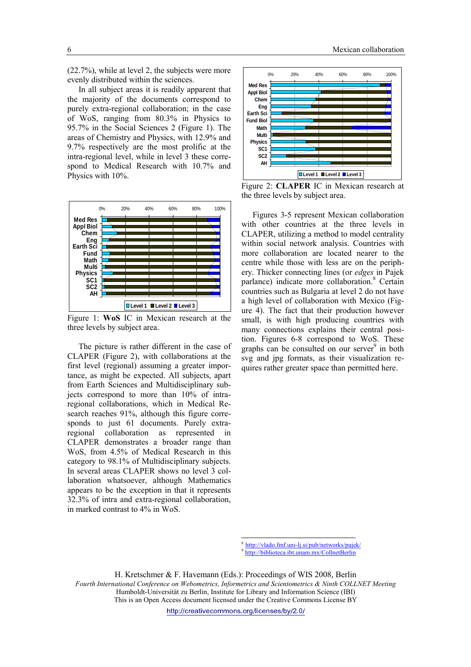(22.7%), while at level 2, the subjects were more evenly distributed within the sciences.

In all subject areas it is readily apparent that the majority of the documents correspond to purely extra-regional collaboration; in the case of WoS, ranging from 80.3% in Physics to 95.7% in the Social Sciences 2 (Figure 1). The areas of Chemistry and Physics, with 12.9% and 9.7% respectively are the most prolific at the intra-regional level, while in level 3 these correspond to Medical Research with 10.7% and Physics with 10%.



Figure 1: WoS IC in Mexican research at the three levels by subject area.

The picture is rather different in the case of CLAPER (Figure 2), with collaborations at the first level (regional) assuming a greater importance, as might be expected. All subjects, apart from Earth Sciences and Multidisciplinary subjects correspond to more than 10% of intraregional collaborations, which in Medical Research reaches 91%, although this figure corresponds to just 61 documents. Purely extraregional collaboration as represented in CLAPER demonstrates a broader range than WoS, from 4.5% of Medical Research in this category to 98.1% of Multidisciplinary subjects. In several areas CLAPER shows no level 3 collaboration whatsoever, although Mathematics appears to be the exception in that it represents 32.3% of intra and extra-regional collaboration, in marked contrast to 4% in WoS.



Figure 2: CLAPER IC in Mexican research at the three levels by subject area.

Figures 3-5 represent Mexican collaboration with other countries at the three levels in CLAPER, utilizing a method to model centrality within social network analysis. Countries with more collaboration are located nearer to the centre while those with less are on the periphery. Thicker connecting lines (or edges in Pajek parlance) indicate more collaboration.<sup>8</sup> Certain countries such as Bulgaria at level 2 do not have a high level of collaboration with Mexico (Figure 4). The fact that their production however small, is with high producing countries with many connections explains their central position. Figures 6-8 correspond to WoS. These graphs can be consulted on our server $9$  in both svg and jpg formats, as their visualization requires rather greater space than permitted here.

8 http://vlado.fmf.uni-lj.si/pub/networks/pajek/

9 http://biblioteca.ibt.unam.mx/CollnetBerlin

H. Kretschmer & F. Havemann (Eds.): Proceedings of WIS 2008, Berlin Fourth International Conference on Webometrics, Informetrics and Scientometrics & Ninth COLLNET Meeting Humboldt-Universität zu Berlin, Institute for Library and Information Science (IBI) This is an Open Access document licensed under the Creative Commons License BY

-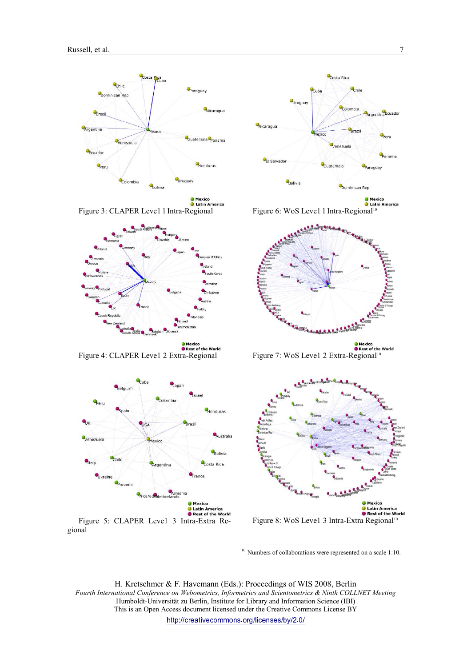





Figure 4: CLAPER Leve1 2 Extra-Regional



Figure 5: CLAPER Leve1 3 Intra-Extra Regional



● Mexico<br>● Latin America Figure 6: WoS Leve1 l Intra-Regional<sup>10</sup>



Mexico<br>• Rest of the World Figure 7: WoS Leve1 2 Extra-Regional<sup>10</sup>



<sup>10</sup> Numbers of collaborations were represented on a scale 1:10.

H. Kretschmer & F. Havemann (Eds.): Proceedings of WIS 2008, Berlin Fourth International Conference on Webometrics, Informetrics and Scientometrics & Ninth COLLNET Meeting Humboldt-Universität zu Berlin, Institute for Library and Information Science (IBI) This is an Open Access document licensed under the Creative Commons License BY http://creativecommons.org/licenses/by/2.0/

j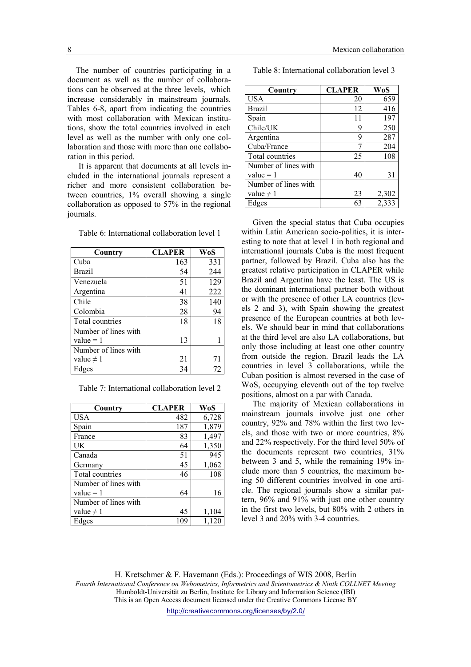The number of countries participating in a document as well as the number of collaborations can be observed at the three levels, which increase considerably in mainstream journals. Tables 6-8, apart from indicating the countries with most collaboration with Mexican institutions, show the total countries involved in each level as well as the number with only one collaboration and those with more than one collaboration in this period.

It is apparent that documents at all levels included in the international journals represent a richer and more consistent collaboration between countries, 1% overall showing a single collaboration as opposed to 57% in the regional journals.

| Country              | <b>CLAPER</b> | WoS |
|----------------------|---------------|-----|
| Cuba                 | 163           | 331 |
| <b>Brazil</b>        | 54            | 244 |
| Venezuela            | 51            | 129 |
| Argentina            | 41            | 222 |
| Chile                | 38            | 140 |
| Colombia             | 28            | 94  |
| Total countries      | 18            | 18  |
| Number of lines with |               |     |
| $value = 1$          | 13            |     |
| Number of lines with |               |     |
| value $\neq$ 1       | 21            | 71  |
| Edges                | 34            | 72  |

Table 6: International collaboration level 1

| Country              | <b>CLAPER</b> | WoS   |
|----------------------|---------------|-------|
| <b>USA</b>           | 482           | 6,728 |
| Spain                | 187           | 1,879 |
| France               | 83            | 1,497 |
| UK                   | 64            | 1,350 |
| Canada               | 51            | 945   |
| Germany              | 45            | 1,062 |
| Total countries      | 46            | 108   |
| Number of lines with |               |       |
| $value = 1$          | 64            | 16    |
| Number of lines with |               |       |
| value $\neq$ 1       | 45            | 1,104 |
| Edges                | 109           | 1,12  |

Table 8: International collaboration level 3

| Country              | <b>CLAPER</b> | WoS   |
|----------------------|---------------|-------|
| <b>USA</b>           | 20            | 659   |
| <b>Brazil</b>        | 12            | 416   |
| Spain                | 11            | 197   |
| Chile/UK             | 9             | 250   |
| Argentina            | 9             | 287   |
| Cuba/France          |               | 204   |
| Total countries      | 25            | 108   |
| Number of lines with |               |       |
| value $= 1$          | 40            | 31    |
| Number of lines with |               |       |
| value $\neq$ 1       | 23            | 2,302 |
| Edges                | 63            | 2,333 |

Given the special status that Cuba occupies within Latin American socio-politics, it is interesting to note that at level 1 in both regional and international journals Cuba is the most frequent partner, followed by Brazil. Cuba also has the greatest relative participation in CLAPER while Brazil and Argentina have the least. The US is the dominant international partner both without or with the presence of other LA countries (levels 2 and 3), with Spain showing the greatest presence of the European countries at both levels. We should bear in mind that collaborations at the third level are also LA collaborations, but only those including at least one other country from outside the region. Brazil leads the LA countries in level 3 collaborations, while the Cuban position is almost reversed in the case of WoS, occupying eleventh out of the top twelve positions, almost on a par with Canada.

The majority of Mexican collaborations in mainstream journals involve just one other country, 92% and 78% within the first two levels, and those with two or more countries, 8% and 22% respectively. For the third level 50% of the documents represent two countries, 31% between 3 and 5, while the remaining 19% include more than 5 countries, the maximum being 50 different countries involved in one article. The regional journals show a similar pattern, 96% and 91% with just one other country in the first two levels, but 80% with 2 others in level 3 and 20% with 3-4 countries.

H. Kretschmer & F. Havemann (Eds.): Proceedings of WIS 2008, Berlin Fourth International Conference on Webometrics, Informetrics and Scientometrics & Ninth COLLNET Meeting Humboldt-Universität zu Berlin, Institute for Library and Information Science (IBI) This is an Open Access document licensed under the Creative Commons License BY http://creativecommons.org/licenses/by/2.0/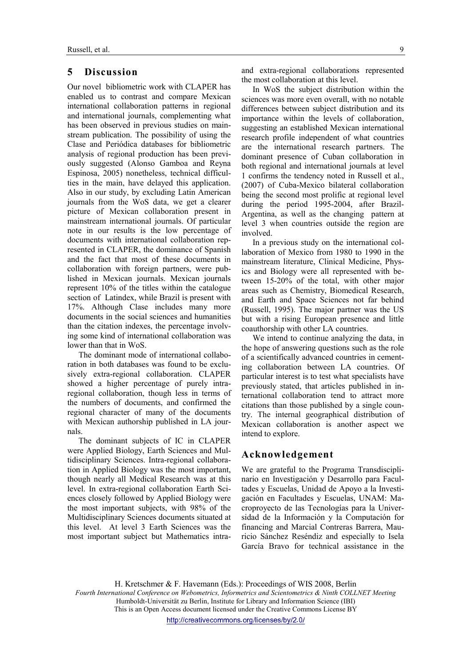## 5 Discussion

Our novel bibliometric work with CLAPER has enabled us to contrast and compare Mexican international collaboration patterns in regional and international journals, complementing what has been observed in previous studies on mainstream publication. The possibility of using the Clase and Periódica databases for bibliometric analysis of regional production has been previously suggested (Alonso Gamboa and Reyna Espinosa, 2005) nonetheless, technical difficulties in the main, have delayed this application. Also in our study, by excluding Latin American journals from the WoS data, we get a clearer picture of Mexican collaboration present in mainstream international journals. Of particular note in our results is the low percentage of documents with international collaboration represented in CLAPER, the dominance of Spanish and the fact that most of these documents in collaboration with foreign partners, were published in Mexican journals. Mexican journals represent 10% of the titles within the catalogue section of Latindex, while Brazil is present with 17%. Although Clase includes many more documents in the social sciences and humanities than the citation indexes, the percentage involving some kind of international collaboration was lower than that in WoS.

The dominant mode of international collaboration in both databases was found to be exclusively extra-regional collaboration. CLAPER showed a higher percentage of purely intraregional collaboration, though less in terms of the numbers of documents, and confirmed the regional character of many of the documents with Mexican authorship published in LA journals.

The dominant subjects of IC in CLAPER were Applied Biology, Earth Sciences and Multidisciplinary Sciences. Intra-regional collaboration in Applied Biology was the most important, though nearly all Medical Research was at this level. In extra-regional collaboration Earth Sciences closely followed by Applied Biology were the most important subjects, with 98% of the Multidisciplinary Sciences documents situated at this level. At level 3 Earth Sciences was the most important subject but Mathematics intraand extra-regional collaborations represented the most collaboration at this level.

In WoS the subject distribution within the sciences was more even overall, with no notable differences between subject distribution and its importance within the levels of collaboration, suggesting an established Mexican international research profile independent of what countries are the international research partners. The dominant presence of Cuban collaboration in both regional and international journals at level 1 confirms the tendency noted in Russell et al., (2007) of Cuba-Mexico bilateral collaboration being the second most prolific at regional level during the period 1995-2004, after Brazil-Argentina, as well as the changing pattern at level 3 when countries outside the region are involved.

In a previous study on the international collaboration of Mexico from 1980 to 1990 in the mainstream literature, Clinical Medicine, Physics and Biology were all represented with between 15-20% of the total, with other major areas such as Chemistry, Biomedical Research, and Earth and Space Sciences not far behind (Russell, 1995). The major partner was the US but with a rising European presence and little coauthorship with other LA countries.

We intend to continue analyzing the data, in the hope of answering questions such as the role of a scientifically advanced countries in cementing collaboration between LA countries. Of particular interest is to test what specialists have previously stated, that articles published in international collaboration tend to attract more citations than those published by a single country. The internal geographical distribution of Mexican collaboration is another aspect we intend to explore.

#### Acknowledgement

We are grateful to the Programa Transdisciplinario en Investigación y Desarrollo para Facultades y Escuelas, Unidad de Apoyo a la Investigación en Facultades y Escuelas, UNAM: Macroproyecto de las Tecnologías para la Universidad de la Información y la Computación for financing and Marcial Contreras Barrera, Mauricio Sánchez Reséndiz and especially to Isela García Bravo for technical assistance in the

H. Kretschmer & F. Havemann (Eds.): Proceedings of WIS 2008, Berlin Fourth International Conference on Webometrics, Informetrics and Scientometrics & Ninth COLLNET Meeting Humboldt-Universität zu Berlin, Institute for Library and Information Science (IBI) This is an Open Access document licensed under the Creative Commons License BY